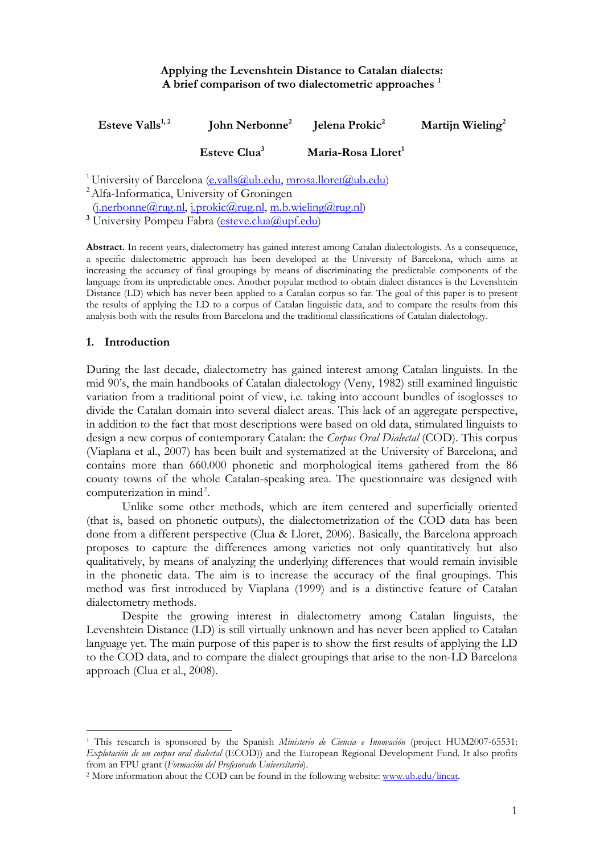# **Applying the Levenshtein Distance to Catalan dialects: A brief comparison of two dialectometric approaches [1](#page-0-0)**

| Esteve Valls $^{1,2}$ | John Nerbonne <sup>2</sup> Jelena Prokic <sup>2</sup> |                                | Martijn Wieling <sup>2</sup> |
|-----------------------|-------------------------------------------------------|--------------------------------|------------------------------|
|                       | Esteve Clua <sup>3</sup>                              | Maria-Rosa Lloret <sup>1</sup> |                              |
|                       |                                                       |                                |                              |

<sup>1</sup> University of Barcelona [\(e.valls@ub.edu,](mailto:e.valls@ub.edu) [mrosa.lloret@ub.edu](mailto:mrosa.lloret@ub.edu))<br><sup>2</sup> Alfa-Informatica, University of Groningen

 $(i.nerbonne@rug.nl, i.prokic@rug.nl, m.b.wieling@rug.nl)$  $(i.nerbonne@rug.nl, i.prokic@rug.nl, m.b.wieling@rug.nl)$  $(i.nerbonne@rug.nl, i.prokic@rug.nl, m.b.wieling@rug.nl)$ 

<sup>3</sup> University Pompeu Fabra [\(esteve.clua@upf.edu](mailto:esteve.clua@upf.edu))

**Abstract.** In recent years, dialectometry has gained interest among Catalan dialectologists. As a consequence, a specific dialectometric approach has been developed at the University of Barcelona, which aims at increasing the accuracy of final groupings by means of discriminating the predictable components of the language from its unpredictable ones. Another popular method to obtain dialect distances is the Levenshtein Distance (LD) which has never been applied to a Catalan corpus so far. The goal of this paper is to present the results of applying the LD to a corpus of Catalan linguistic data, and to compare the results from this analysis both with the results from Barcelona and the traditional classifications of Catalan dialectology.

## **1. Introduction**

1

During the last decade, dialectometry has gained interest among Catalan linguists. In the mid 90's, the main handbooks of Catalan dialectology (Veny, 1982) still examined linguistic variation from a traditional point of view, i.e. taking into account bundles of isoglosses to divide the Catalan domain into several dialect areas. This lack of an aggregate perspective, in addition to the fact that most descriptions were based on old data, stimulated linguists to design a new corpus of contemporary Catalan: the *Corpus Oral Dialectal* (COD). This corpus (Viaplana et al., 2007) has been built and systematized at the University of Barcelona, and contains more than 660.000 phonetic and morphological items gathered from the 86 county towns of the whole Catalan-speaking area. The questionnaire was designed with computerization in mind<sup>[2](#page-0-1)</sup>.

Unlike some other methods, which are item centered and superficially oriented (that is, based on phonetic outputs), the dialectometrization of the COD data has been done from a different perspective (Clua & Lloret, 2006). Basically, the Barcelona approach proposes to capture the differences among varieties not only quantitatively but also qualitatively, by means of analyzing the underlying differences that would remain invisible in the phonetic data. The aim is to increase the accuracy of the final groupings. This method was first introduced by Viaplana (1999) and is a distinctive feature of Catalan dialectometry methods.

Despite the growing interest in dialectometry among Catalan linguists, the Levenshtein Distance (LD) is still virtually unknown and has never been applied to Catalan language yet. The main purpose of this paper is to show the first results of applying the LD to the COD data, and to compare the dialect groupings that arise to the non-LD Barcelona approach (Clua et al., 2008).

<span id="page-0-0"></span><sup>1</sup> This research is sponsored by the Spanish *Ministerio de Ciencia e Innovación* (project HUM2007-65531: *Explotación de un corpus oral dialectal* (ECOD)) and the European Regional Development Fund. It also profits from an FPU grant (*Formación del Profesorado Universitario*). 2 More information about the COD can be found in the following website: [www.ub.edu/lincat](http://www.ub.edu/lincat).

<span id="page-0-1"></span>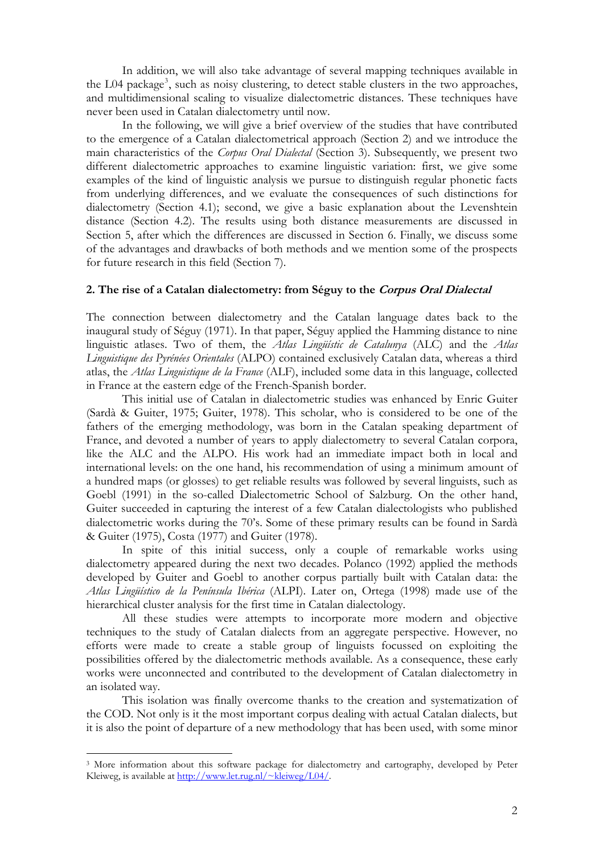In addition, we will also take advantage of several mapping techniques available in the L04 package<sup>[3](#page-1-0)</sup>, such as noisy clustering, to detect stable clusters in the two approaches, and multidimensional scaling to visualize dialectometric distances. These techniques have never been used in Catalan dialectometry until now.

In the following, we will give a brief overview of the studies that have contributed to the emergence of a Catalan dialectometrical approach (Section 2) and we introduce the main characteristics of the *Corpus Oral Dialectal* (Section 3). Subsequently, we present two different dialectometric approaches to examine linguistic variation: first, we give some examples of the kind of linguistic analysis we pursue to distinguish regular phonetic facts from underlying differences, and we evaluate the consequences of such distinctions for dialectometry (Section 4.1); second, we give a basic explanation about the Levenshtein distance (Section 4.2). The results using both distance measurements are discussed in Section 5, after which the differences are discussed in Section 6. Finally, we discuss some of the advantages and drawbacks of both methods and we mention some of the prospects for future research in this field (Section 7).

### **2. The rise of a Catalan dialectometry: from Séguy to the Corpus Oral Dialectal**

The connection between dialectometry and the Catalan language dates back to the inaugural study of Séguy (1971). In that paper, Séguy applied the Hamming distance to nine linguistic atlases. Two of them, the *Atlas Lingüístic de Catalunya* (ALC) and the *Atlas Linguistique des Pyrénées Orientales* (ALPO) contained exclusively Catalan data, whereas a third atlas, the *Atlas Linguistique de la France* (ALF), included some data in this language, collected in France at the eastern edge of the French-Spanish border.

This initial use of Catalan in dialectometric studies was enhanced by Enric Guiter (Sardà & Guiter, 1975; Guiter, 1978). This scholar, who is considered to be one of the fathers of the emerging methodology, was born in the Catalan speaking department of France, and devoted a number of years to apply dialectometry to several Catalan corpora, like the ALC and the ALPO. His work had an immediate impact both in local and international levels: on the one hand, his recommendation of using a minimum amount of a hundred maps (or glosses) to get reliable results was followed by several linguists, such as Goebl (1991) in the so-called Dialectometric School of Salzburg. On the other hand, Guiter succeeded in capturing the interest of a few Catalan dialectologists who published dialectometric works during the 70's. Some of these primary results can be found in Sardà & Guiter (1975), Costa (1977) and Guiter (1978).

In spite of this initial success, only a couple of remarkable works using dialectometry appeared during the next two decades. Polanco (1992) applied the methods developed by Guiter and Goebl to another corpus partially built with Catalan data: the *Atlas Lingüístico de la Península Ibérica* (ALPI). Later on, Ortega (1998) made use of the hierarchical cluster analysis for the first time in Catalan dialectology.

 All these studies were attempts to incorporate more modern and objective techniques to the study of Catalan dialects from an aggregate perspective. However, no efforts were made to create a stable group of linguists focussed on exploiting the possibilities offered by the dialectometric methods available. As a consequence, these early works were unconnected and contributed to the development of Catalan dialectometry in an isolated way.

 This isolation was finally overcome thanks to the creation and systematization of the COD. Not only is it the most important corpus dealing with actual Catalan dialects, but it is also the point of departure of a new methodology that has been used, with some minor

1

<span id="page-1-0"></span><sup>&</sup>lt;sup>3</sup> More information about this software package for dialectometry and cartography, developed by Peter Kleiweg, is available at [http://www.let.rug.nl/~kleiweg/L04/](http://www.let.rug.nl/%7Ekleiweg/L04/).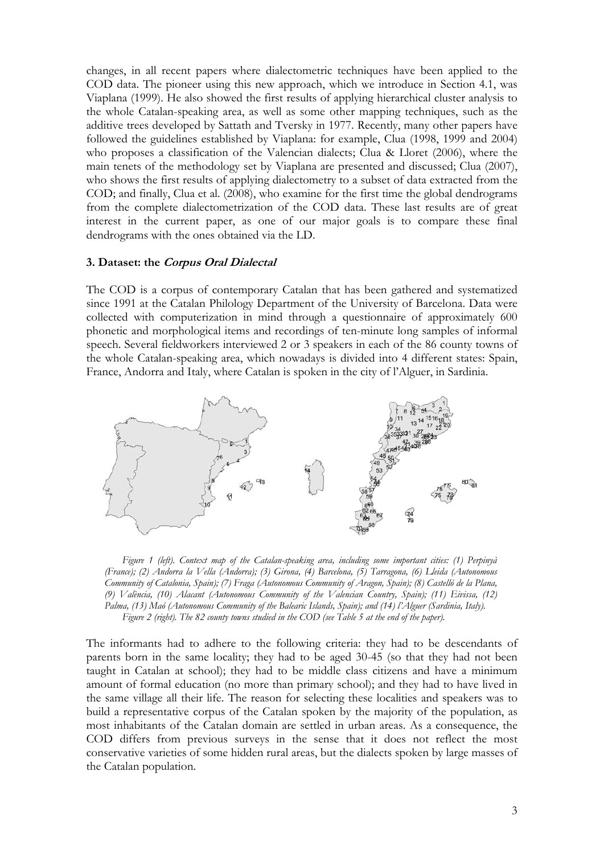changes, in all recent papers where dialectometric techniques have been applied to the COD data. The pioneer using this new approach, which we introduce in Section 4.1, was Viaplana (1999). He also showed the first results of applying hierarchical cluster analysis to the whole Catalan-speaking area, as well as some other mapping techniques, such as the additive trees developed by Sattath and Tversky in 1977. Recently, many other papers have followed the guidelines established by Viaplana: for example, Clua (1998, 1999 and 2004) who proposes a classification of the Valencian dialects; Clua & Lloret (2006), where the main tenets of the methodology set by Viaplana are presented and discussed; Clua (2007), who shows the first results of applying dialectometry to a subset of data extracted from the COD; and finally, Clua et al. (2008), who examine for the first time the global dendrograms from the complete dialectometrization of the COD data. These last results are of great interest in the current paper, as one of our major goals is to compare these final dendrograms with the ones obtained via the LD.

### **3. Dataset: the Corpus Oral Dialectal**

The COD is a corpus of contemporary Catalan that has been gathered and systematized since 1991 at the Catalan Philology Department of the University of Barcelona. Data were collected with computerization in mind through a questionnaire of approximately 600 phonetic and morphological items and recordings of ten-minute long samples of informal speech. Several fieldworkers interviewed 2 or 3 speakers in each of the 86 county towns of the whole Catalan-speaking area, which nowadays is divided into 4 different states: Spain, France, Andorra and Italy, where Catalan is spoken in the city of l'Alguer, in Sardinia.



*Figure 1 (left). Context map of the Catalan-speaking area, including some important cities: (1) Perpinyà (France); (2) Andorra la Vella (Andorra); (3) Girona, (4) Barcelona, (5) Tarragona, (6) Lleida (Autonomous Community of Catalonia, Spain); (7) Fraga (Autonomous Community of Aragon, Spain); (8) Castelló de la Plana, (9) València, (10) Alacant (Autonomous Community of the Valencian Country, Spain); (11) Eivissa, (12) Palma, (13) Maó (Autonomous Community of the Balearic Islands, Spain); and (14) l'Alguer (Sardinia, Italy). Figure 2 (right). The 82 county towns studied in the COD (see Table 5 at the end of the paper).* 

The informants had to adhere to the following criteria: they had to be descendants of parents born in the same locality; they had to be aged 30-45 (so that they had not been taught in Catalan at school); they had to be middle class citizens and have a minimum amount of formal education (no more than primary school); and they had to have lived in the same village all their life. The reason for selecting these localities and speakers was to build a representative corpus of the Catalan spoken by the majority of the population, as most inhabitants of the Catalan domain are settled in urban areas. As a consequence, the COD differs from previous surveys in the sense that it does not reflect the most conservative varieties of some hidden rural areas, but the dialects spoken by large masses of the Catalan population.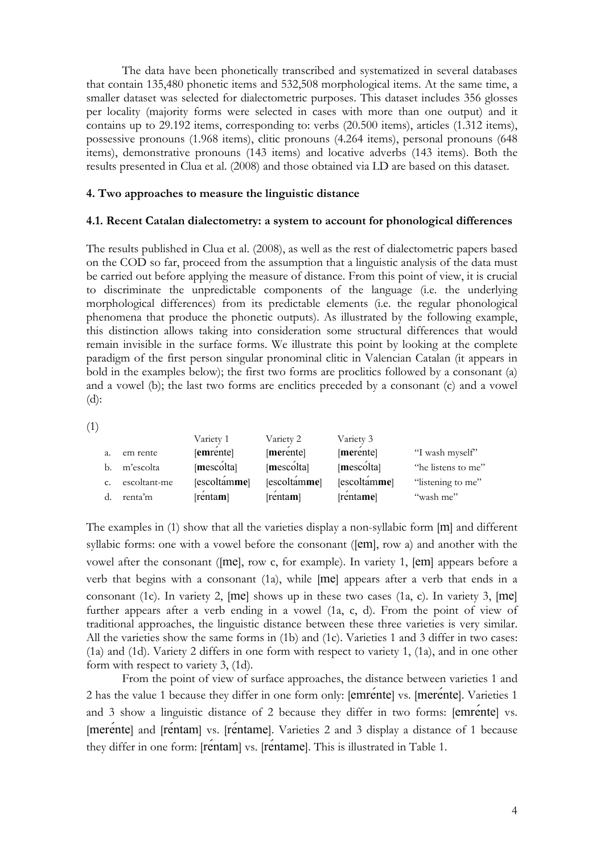The data have been phonetically transcribed and systematized in several databases that contain 135,480 phonetic items and 532,508 morphological items. At the same time, a smaller dataset was selected for dialectometric purposes. This dataset includes 356 glosses per locality (majority forms were selected in cases with more than one output) and it contains up to 29.192 items, corresponding to: verbs (20.500 items), articles (1.312 items), possessive pronouns (1.968 items), clitic pronouns (4.264 items), personal pronouns (648 items), demonstrative pronouns (143 items) and locative adverbs (143 items). Both the results presented in Clua et al. (2008) and those obtained via LD are based on this dataset.

## **4. Two approaches to measure the linguistic distance**

### **4.1. Recent Catalan dialectometry: a system to account for phonological differences**

The results published in Clua et al. (2008), as well as the rest of dialectometric papers based on the COD so far, proceed from the assumption that a linguistic analysis of the data must be carried out before applying the measure of distance. From this point of view, it is crucial to discriminate the unpredictable components of the language (i.e. the underlying morphological differences) from its predictable elements (i.e. the regular phonological phenomena that produce the phonetic outputs). As illustrated by the following example, this distinction allows taking into consideration some structural differences that would remain invisible in the surface forms. We illustrate this point by looking at the complete paradigm of the first person singular pronominal clitic in Valencian Catalan (it appears in bold in the examples below); the first two forms are proclitics followed by a consonant (a) and a vowel (b); the last two forms are enclitics preceded by a consonant (c) and a vowel  $(d)$ :

(1)

|             |              | Variety 1    | Variety 2            | Variety 3            |                    |
|-------------|--------------|--------------|----------------------|----------------------|--------------------|
| a.          | em rente     | [emrente]    | [merente]            | [merente]            | "I wash myself"    |
| b.          | m'escolta    | [mescolta]   | [mesc <sub>o</sub> ] | [mesc <sub>o</sub> ] | "he listens to me" |
| $C_{\star}$ | escoltant-me | [escoltamme] | [escoltamme]         | [escoltamme]         | "listening to me"  |
|             | renta'm      | [rentam]     | [rentam]             | [rentame]            | "wash me"          |

The examples in (1) show that all the varieties display a non-syllabic form [m] and different syllabic forms: one with a vowel before the consonant ([em], row a) and another with the vowel after the consonant ([me], row c, for example). In variety 1, [em] appears before a verb that begins with a consonant (1a), while [me] appears after a verb that ends in a consonant (1c). In variety 2, [me] shows up in these two cases (1a, c). In variety 3, [me] further appears after a verb ending in a vowel (1a, c, d). From the point of view of traditional approaches, the linguistic distance between these three varieties is very similar. All the varieties show the same forms in (1b) and (1c). Varieties 1 and 3 differ in two cases: (1a) and (1d). Variety 2 differs in one form with respect to variety 1, (1a), and in one other form with respect to variety 3, (1d).

 From the point of view of surface approaches, the distance between varieties 1 and 2 has the value 1 because they differ in one form only: [emrente] vs. [merente]. Varieties 1 and 3 show a linguistic distance of 2 because they differ in two forms: [emrente] vs. [merente] and [rentam] vs. [rentame]. Varieties 2 and 3 display a distance of 1 because they differ in one form: [rentam] vs. [rentame]. This is illustrated in Table 1.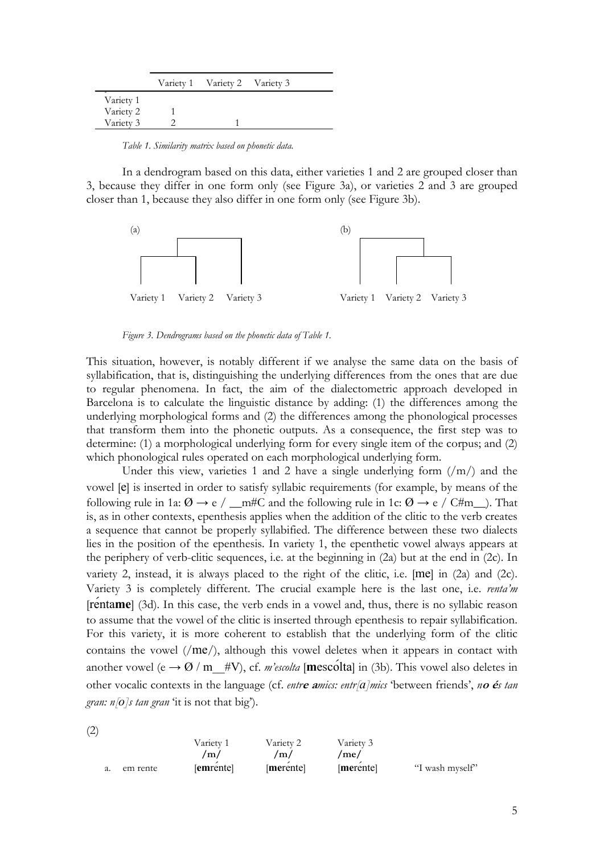|           | Variety 1 Variety 2 Variety 3 |  |
|-----------|-------------------------------|--|
| Variety 1 |                               |  |
| Variety 2 |                               |  |
| Variety 3 |                               |  |

*Table 1. Similarity matrix based on phonetic data.* 

In a dendrogram based on this data, either varieties 1 and 2 are grouped closer than 3, because they differ in one form only (see Figure 3a), or varieties 2 and 3 are grouped closer than 1, because they also differ in one form only (see Figure 3b).



*Figure 3. Dendrograms based on the phonetic data of Table 1.* 

This situation, however, is notably different if we analyse the same data on the basis of syllabification, that is, distinguishing the underlying differences from the ones that are due to regular phenomena. In fact, the aim of the dialectometric approach developed in Barcelona is to calculate the linguistic distance by adding: (1) the differences among the underlying morphological forms and (2) the differences among the phonological processes that transform them into the phonetic outputs. As a consequence, the first step was to determine: (1) a morphological underlying form for every single item of the corpus; and (2) which phonological rules operated on each morphological underlying form.

Under this view, varieties 1 and 2 have a single underlying form  $\left(\frac{m}{m}\right)$  and the vowel [e] is inserted in order to satisfy syllabic requirements (for example, by means of the following rule in 1a:  $\varnothing \to e / \underline{\hspace{1cm}}$  m#C and the following rule in 1c:  $\varnothing \to e / C \# m \underline{\hspace{1cm}}$ ). That is, as in other contexts, epenthesis applies when the addition of the clitic to the verb creates a sequence that cannot be properly syllabified. The difference between these two dialects lies in the position of the epenthesis. In variety 1, the epenthetic vowel always appears at the periphery of verb-clitic sequences, i.e. at the beginning in  $(2a)$  but at the end in  $(2c)$ . In variety 2, instead, it is always placed to the right of the clitic, i.e. [me] in (2a) and (2c). Variety 3 is completely different. The crucial example here is the last one, i.e. *renta'm*  [renta**me**] (3d). In this case, the verb ends in a vowel and, thus, there is no syllabic reason to assume that the vowel of the clitic is inserted through epenthesis to repair syllabification. For this variety, it is more coherent to establish that the underlying form of the clitic contains the vowel (/me/), although this vowel deletes when it appears in contact with another vowel (e  $\rightarrow$  Ø / m  $#V$ ), cf. *m'escolta* [**mescolta**] in (3b). This vowel also deletes in other vocalic contexts in the language (cf. *entr***e a***mics: entr[a]mics* 'between friends', *n***o é***s tan gran: n[o]s tan gran* 'it is not that big').

(2)

|    |          | Variety 1 | Variety 2           | Variety 3 |                 |
|----|----------|-----------|---------------------|-----------|-----------------|
|    |          | /m        | $\prime$ m $\prime$ | /me/      |                 |
| а. | em rente | [emrente] | merentel            | merentel  | "I wash myself" |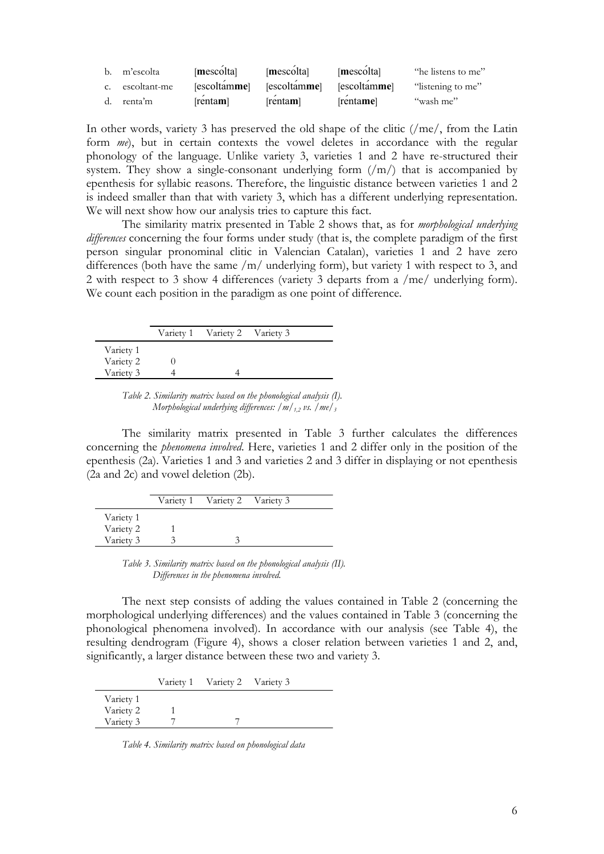| b. | m'escolta       | [mescolta]            | [mescolta]                | [mescolta]         | "he listens to me" |
|----|-----------------|-----------------------|---------------------------|--------------------|--------------------|
|    | c. escoltant-me | [escoltam <b>me</b> ] | [escoltamme] [escoltamme] |                    | "listening to me"  |
| d. | renta'm         | [renta <b>m</b> ]     | [rentam]                  | [renta <b>me</b> ] | "wash me"          |

In other words, variety 3 has preserved the old shape of the clitic (/me/, from the Latin form *me*), but in certain contexts the vowel deletes in accordance with the regular phonology of the language. Unlike variety 3, varieties 1 and 2 have re-structured their system. They show a single-consonant underlying form  $(\text{/}m/\text{/})$  that is accompanied by epenthesis for syllabic reasons. Therefore, the linguistic distance between varieties 1 and 2 is indeed smaller than that with variety 3, which has a different underlying representation. We will next show how our analysis tries to capture this fact.

 The similarity matrix presented in Table 2 shows that, as for *morphological underlying differences* concerning the four forms under study (that is, the complete paradigm of the first person singular pronominal clitic in Valencian Catalan), varieties 1 and 2 have zero differences (both have the same /m/ underlying form), but variety 1 with respect to 3, and 2 with respect to 3 show 4 differences (variety 3 departs from a /me/ underlying form). We count each position in the paradigm as one point of difference.

|           | Variety 1 Variety 2 Variety 3 |  |
|-----------|-------------------------------|--|
| Variety 1 |                               |  |
| Variety 2 |                               |  |
| Variety 3 |                               |  |

*Table 2. Similarity matrix based on the phonological analysis (I). Morphological underlying differences: /m/1,2 vs. /me/3*

The similarity matrix presented in Table 3 further calculates the differences concerning the *phenomena involved*. Here, varieties 1 and 2 differ only in the position of the epenthesis (2a). Varieties 1 and 3 and varieties 2 and 3 differ in displaying or not epenthesis (2a and 2c) and vowel deletion (2b).

|           | Variety 1 Variety 2 Variety 3 |  |
|-----------|-------------------------------|--|
| Variety 1 |                               |  |
| Variety 2 |                               |  |
| Variety 3 |                               |  |

*Table 3. Similarity matrix based on the phonological analysis (II). Differences in the phenomena involved.* 

The next step consists of adding the values contained in Table 2 (concerning the morphological underlying differences) and the values contained in Table 3 (concerning the phonological phenomena involved). In accordance with our analysis (see Table 4), the resulting dendrogram (Figure 4), shows a closer relation between varieties 1 and 2, and, significantly, a larger distance between these two and variety 3.

|           | Variety 1 Variety 2 Variety 3 |  |
|-----------|-------------------------------|--|
| Variety 1 |                               |  |
| Variety 2 |                               |  |
| Variety 3 |                               |  |

*Table 4. Similarity matrix based on phonological data*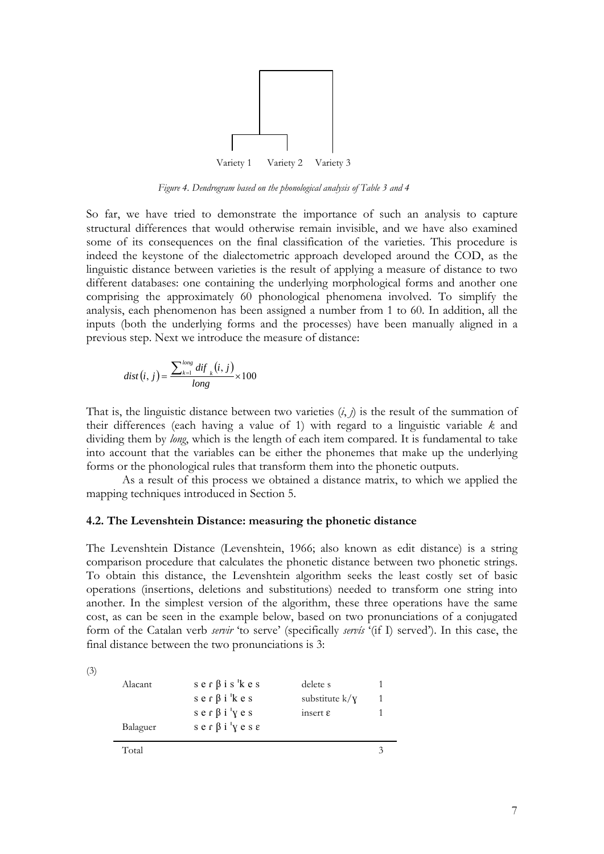

*Figure 4. Dendrogram based on the phonological analysis of Table 3 and 4* 

So far, we have tried to demonstrate the importance of such an analysis to capture structural differences that would otherwise remain invisible, and we have also examined some of its consequences on the final classification of the varieties. This procedure is indeed the keystone of the dialectometric approach developed around the COD, as the linguistic distance between varieties is the result of applying a measure of distance to two different databases: one containing the underlying morphological forms and another one comprising the approximately 60 phonological phenomena involved. To simplify the analysis, each phenomenon has been assigned a number from 1 to 60. In addition, all the inputs (both the underlying forms and the processes) have been manually aligned in a previous step. Next we introduce the measure of distance:

$$
dist(i, j) = \frac{\sum_{k=1}^{long} dif}{long} (i, j) \times 100
$$

That is, the linguistic distance between two varieties  $(i, j)$  is the result of the summation of their differences (each having a value of 1) with regard to a linguistic variable *k* and dividing them by *long*, which is the length of each item compared. It is fundamental to take into account that the variables can be either the phonemes that make up the underlying forms or the phonological rules that transform them into the phonetic outputs.

 As a result of this process we obtained a distance matrix, to which we applied the mapping techniques introduced in Section 5.

#### **4.2. The Levenshtein Distance: measuring the phonetic distance**

The Levenshtein Distance (Levenshtein, 1966; also known as edit distance) is a string comparison procedure that calculates the phonetic distance between two phonetic strings. To obtain this distance, the Levenshtein algorithm seeks the least costly set of basic operations (insertions, deletions and substitutions) needed to transform one string into another. In the simplest version of the algorithm, these three operations have the same cost, as can be seen in the example below, based on two pronunciations of a conjugated form of the Catalan verb *servir* 'to serve' (specifically *servís* '(if I) served'). In this case, the final distance between the two pronunciations is 3:

|                            | Total    |                                                  |                       | 3 |
|----------------------------|----------|--------------------------------------------------|-----------------------|---|
|                            | Balaguer | $s e \cap \beta i' y e s \epsilon$               |                       |   |
|                            |          | $s e \nvert \beta i' y e s$                      | insert $\varepsilon$  |   |
|                            |          | $s e \nvert \nvert s i$ 'kes                     | substitute $k/\gamma$ |   |
|                            | Alacant  | $s \, e \, r \, \beta \, i \, s' \, k \, e \, s$ | delete s              |   |
| $\mathcal{L}(\mathcal{L})$ |          |                                                  |                       |   |

(3)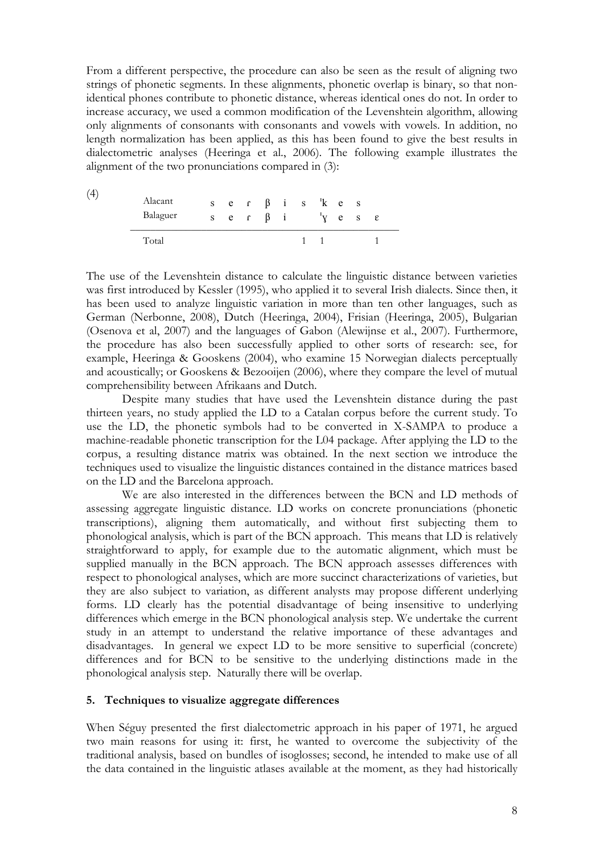From a different perspective, the procedure can also be seen as the result of aligning two strings of phonetic segments. In these alignments, phonetic overlap is binary, so that nonidentical phones contribute to phonetic distance, whereas identical ones do not. In order to increase accuracy, we used a common modification of the Levenshtein algorithm, allowing only alignments of consonants with consonants and vowels with vowels. In addition, no length normalization has been applied, as this has been found to give the best results in dialectometric analyses (Heeringa et al., 2006). The following example illustrates the alignment of the two pronunciations compared in (3):

| (4) | Alacant<br>Balaguer |  | s e $\int$ $\beta$ i |  | ser $\beta$ is kes | $y$ e s $\varepsilon$ |  |
|-----|---------------------|--|----------------------|--|--------------------|-----------------------|--|
|     | Total               |  |                      |  |                    |                       |  |

The use of the Levenshtein distance to calculate the linguistic distance between varieties was first introduced by Kessler (1995), who applied it to several Irish dialects. Since then, it has been used to analyze linguistic variation in more than ten other languages, such as German (Nerbonne, 2008), Dutch (Heeringa, 2004), Frisian (Heeringa, 2005), Bulgarian (Osenova et al, 2007) and the languages of Gabon (Alewijnse et al., 2007). Furthermore, the procedure has also been successfully applied to other sorts of research: see, for example, Heeringa & Gooskens (2004), who examine 15 Norwegian dialects perceptually and acoustically; or Gooskens & Bezooijen (2006), where they compare the level of mutual comprehensibility between Afrikaans and Dutch.

 Despite many studies that have used the Levenshtein distance during the past thirteen years, no study applied the LD to a Catalan corpus before the current study. To use the LD, the phonetic symbols had to be converted in X-SAMPA to produce a machine-readable phonetic transcription for the L04 package. After applying the LD to the corpus, a resulting distance matrix was obtained. In the next section we introduce the techniques used to visualize the linguistic distances contained in the distance matrices based on the LD and the Barcelona approach.

 We are also interested in the differences between the BCN and LD methods of assessing aggregate linguistic distance. LD works on concrete pronunciations (phonetic transcriptions), aligning them automatically, and without first subjecting them to phonological analysis, which is part of the BCN approach. This means that LD is relatively straightforward to apply, for example due to the automatic alignment, which must be supplied manually in the BCN approach. The BCN approach assesses differences with respect to phonological analyses, which are more succinct characterizations of varieties, but they are also subject to variation, as different analysts may propose different underlying forms. LD clearly has the potential disadvantage of being insensitive to underlying differences which emerge in the BCN phonological analysis step. We undertake the current study in an attempt to understand the relative importance of these advantages and disadvantages. In general we expect LD to be more sensitive to superficial (concrete) differences and for BCN to be sensitive to the underlying distinctions made in the phonological analysis step. Naturally there will be overlap.

#### **5. Techniques to visualize aggregate differences**

When Séguy presented the first dialectometric approach in his paper of 1971, he argued two main reasons for using it: first, he wanted to overcome the subjectivity of the traditional analysis, based on bundles of isoglosses; second, he intended to make use of all the data contained in the linguistic atlases available at the moment, as they had historically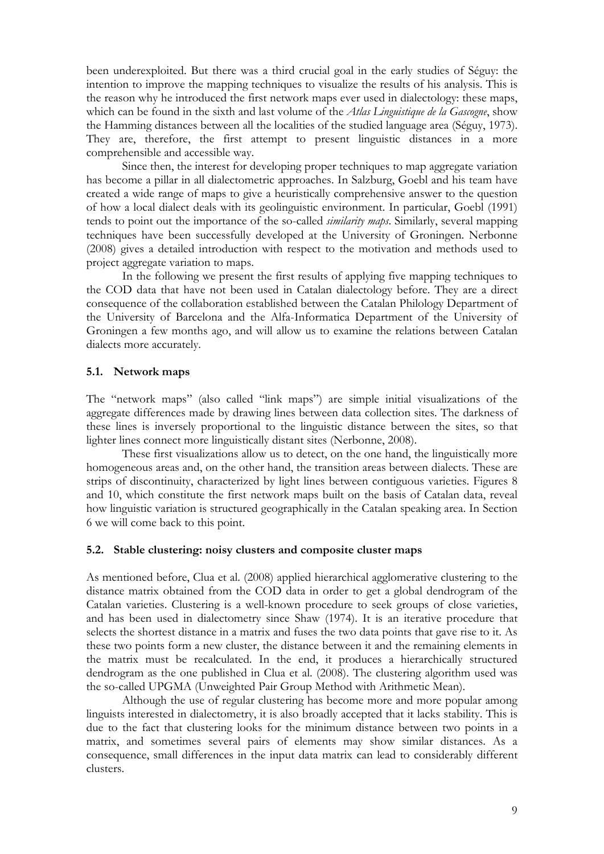been underexploited. But there was a third crucial goal in the early studies of Séguy: the intention to improve the mapping techniques to visualize the results of his analysis. This is the reason why he introduced the first network maps ever used in dialectology: these maps, which can be found in the sixth and last volume of the *Atlas Linguistique de la Gascogne*, show the Hamming distances between all the localities of the studied language area (Séguy, 1973). They are, therefore, the first attempt to present linguistic distances in a more comprehensible and accessible way.

 Since then, the interest for developing proper techniques to map aggregate variation has become a pillar in all dialectometric approaches. In Salzburg, Goebl and his team have created a wide range of maps to give a heuristically comprehensive answer to the question of how a local dialect deals with its geolinguistic environment. In particular, Goebl (1991) tends to point out the importance of the so-called *similarity maps*. Similarly, several mapping techniques have been successfully developed at the University of Groningen. Nerbonne (2008) gives a detailed introduction with respect to the motivation and methods used to project aggregate variation to maps.

 In the following we present the first results of applying five mapping techniques to the COD data that have not been used in Catalan dialectology before. They are a direct consequence of the collaboration established between the Catalan Philology Department of the University of Barcelona and the Alfa-Informatica Department of the University of Groningen a few months ago, and will allow us to examine the relations between Catalan dialects more accurately.

### **5.1. Network maps**

The "network maps" (also called "link maps") are simple initial visualizations of the aggregate differences made by drawing lines between data collection sites. The darkness of these lines is inversely proportional to the linguistic distance between the sites, so that lighter lines connect more linguistically distant sites (Nerbonne, 2008).

 These first visualizations allow us to detect, on the one hand, the linguistically more homogeneous areas and, on the other hand, the transition areas between dialects. These are strips of discontinuity, characterized by light lines between contiguous varieties. Figures 8 and 10, which constitute the first network maps built on the basis of Catalan data, reveal how linguistic variation is structured geographically in the Catalan speaking area. In Section 6 we will come back to this point.

## **5.2. Stable clustering: noisy clusters and composite cluster maps**

As mentioned before, Clua et al. (2008) applied hierarchical agglomerative clustering to the distance matrix obtained from the COD data in order to get a global dendrogram of the Catalan varieties. Clustering is a well-known procedure to seek groups of close varieties, and has been used in dialectometry since Shaw (1974). It is an iterative procedure that selects the shortest distance in a matrix and fuses the two data points that gave rise to it. As these two points form a new cluster, the distance between it and the remaining elements in the matrix must be recalculated. In the end, it produces a hierarchically structured dendrogram as the one published in Clua et al. (2008). The clustering algorithm used was the so-called UPGMA (Unweighted Pair Group Method with Arithmetic Mean).

 Although the use of regular clustering has become more and more popular among linguists interested in dialectometry, it is also broadly accepted that it lacks stability. This is due to the fact that clustering looks for the minimum distance between two points in a matrix, and sometimes several pairs of elements may show similar distances. As a consequence, small differences in the input data matrix can lead to considerably different clusters.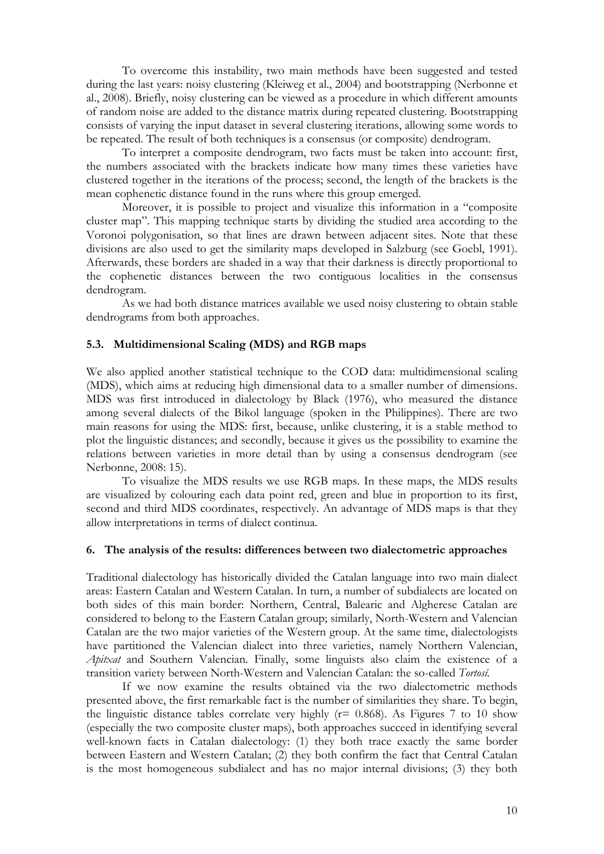To overcome this instability, two main methods have been suggested and tested during the last years: noisy clustering (Kleiweg et al., 2004) and bootstrapping (Nerbonne et al., 2008). Briefly, noisy clustering can be viewed as a procedure in which different amounts of random noise are added to the distance matrix during repeated clustering. Bootstrapping consists of varying the input dataset in several clustering iterations, allowing some words to be repeated. The result of both techniques is a consensus (or composite) dendrogram.

 To interpret a composite dendrogram, two facts must be taken into account: first, the numbers associated with the brackets indicate how many times these varieties have clustered together in the iterations of the process; second, the length of the brackets is the mean cophenetic distance found in the runs where this group emerged.

 Moreover, it is possible to project and visualize this information in a "composite cluster map". This mapping technique starts by dividing the studied area according to the Voronoi polygonisation, so that lines are drawn between adjacent sites. Note that these divisions are also used to get the similarity maps developed in Salzburg (see Goebl, 1991). Afterwards, these borders are shaded in a way that their darkness is directly proportional to the cophenetic distances between the two contiguous localities in the consensus dendrogram.

 As we had both distance matrices available we used noisy clustering to obtain stable dendrograms from both approaches.

#### **5.3. Multidimensional Scaling (MDS) and RGB maps**

We also applied another statistical technique to the COD data: multidimensional scaling (MDS), which aims at reducing high dimensional data to a smaller number of dimensions. MDS was first introduced in dialectology by Black (1976), who measured the distance among several dialects of the Bikol language (spoken in the Philippines). There are two main reasons for using the MDS: first, because, unlike clustering, it is a stable method to plot the linguistic distances; and secondly, because it gives us the possibility to examine the relations between varieties in more detail than by using a consensus dendrogram (see Nerbonne, 2008: 15).

 To visualize the MDS results we use RGB maps. In these maps, the MDS results are visualized by colouring each data point red, green and blue in proportion to its first, second and third MDS coordinates, respectively. An advantage of MDS maps is that they allow interpretations in terms of dialect continua.

### **6. The analysis of the results: differences between two dialectometric approaches**

Traditional dialectology has historically divided the Catalan language into two main dialect areas: Eastern Catalan and Western Catalan. In turn, a number of subdialects are located on both sides of this main border: Northern, Central, Balearic and Algherese Catalan are considered to belong to the Eastern Catalan group; similarly, North-Western and Valencian Catalan are the two major varieties of the Western group. At the same time, dialectologists have partitioned the Valencian dialect into three varieties, namely Northern Valencian, *Apitxat* and Southern Valencian. Finally, some linguists also claim the existence of a transition variety between North-Western and Valencian Catalan: the so-called *Tortosí.* 

 If we now examine the results obtained via the two dialectometric methods presented above, the first remarkable fact is the number of similarities they share. To begin, the linguistic distance tables correlate very highly ( $r= 0.868$ ). As Figures 7 to 10 show (especially the two composite cluster maps), both approaches succeed in identifying several well-known facts in Catalan dialectology: (1) they both trace exactly the same border between Eastern and Western Catalan; (2) they both confirm the fact that Central Catalan is the most homogeneous subdialect and has no major internal divisions; (3) they both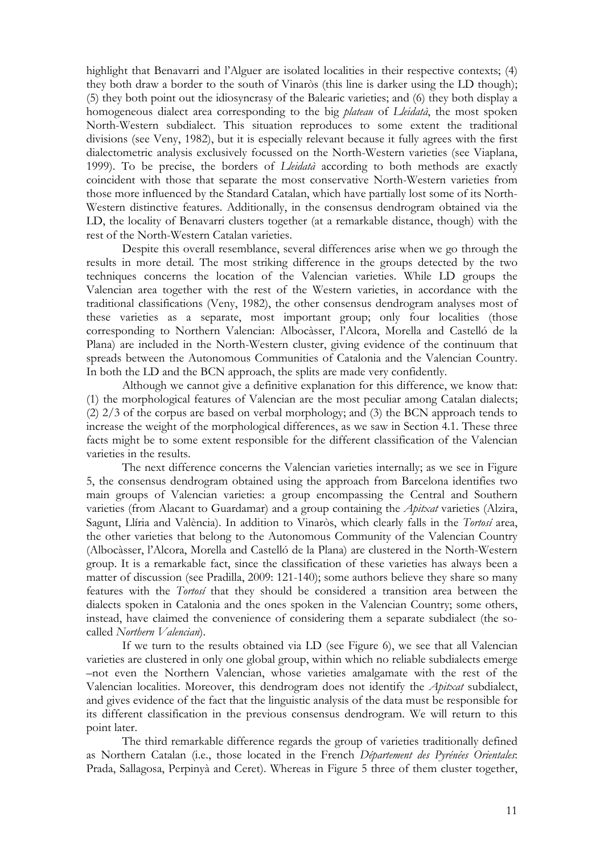highlight that Benavarri and l'Alguer are isolated localities in their respective contexts; (4) they both draw a border to the south of Vinaròs (this line is darker using the LD though); (5) they both point out the idiosyncrasy of the Balearic varieties; and (6) they both display a homogeneous dialect area corresponding to the big *plateau* of *Lleidatà*, the most spoken North-Western subdialect. This situation reproduces to some extent the traditional divisions (see Veny, 1982), but it is especially relevant because it fully agrees with the first dialectometric analysis exclusively focussed on the North-Western varieties (see Viaplana, 1999). To be precise, the borders of *Lleidatà* according to both methods are exactly coincident with those that separate the most conservative North-Western varieties from those more influenced by the Standard Catalan, which have partially lost some of its North-Western distinctive features. Additionally, in the consensus dendrogram obtained via the LD, the locality of Benavarri clusters together (at a remarkable distance, though) with the rest of the North-Western Catalan varieties.

 Despite this overall resemblance, several differences arise when we go through the results in more detail. The most striking difference in the groups detected by the two techniques concerns the location of the Valencian varieties. While LD groups the Valencian area together with the rest of the Western varieties, in accordance with the traditional classifications (Veny, 1982), the other consensus dendrogram analyses most of these varieties as a separate, most important group; only four localities (those corresponding to Northern Valencian: Albocàsser, l'Alcora, Morella and Castelló de la Plana) are included in the North-Western cluster, giving evidence of the continuum that spreads between the Autonomous Communities of Catalonia and the Valencian Country. In both the LD and the BCN approach, the splits are made very confidently.

Although we cannot give a definitive explanation for this difference, we know that: (1) the morphological features of Valencian are the most peculiar among Catalan dialects; (2) 2/3 of the corpus are based on verbal morphology; and (3) the BCN approach tends to increase the weight of the morphological differences, as we saw in Section 4.1. These three facts might be to some extent responsible for the different classification of the Valencian varieties in the results.

The next difference concerns the Valencian varieties internally; as we see in Figure 5, the consensus dendrogram obtained using the approach from Barcelona identifies two main groups of Valencian varieties: a group encompassing the Central and Southern varieties (from Alacant to Guardamar) and a group containing the *Apitxat* varieties (Alzira, Sagunt, Llíria and València). In addition to Vinaròs, which clearly falls in the *Tortosí* area, the other varieties that belong to the Autonomous Community of the Valencian Country (Albocàsser, l'Alcora, Morella and Castelló de la Plana) are clustered in the North-Western group. It is a remarkable fact, since the classification of these varieties has always been a matter of discussion (see Pradilla, 2009: 121-140); some authors believe they share so many features with the *Tortosí* that they should be considered a transition area between the dialects spoken in Catalonia and the ones spoken in the Valencian Country; some others, instead, have claimed the convenience of considering them a separate subdialect (the socalled *Northern Valencian*).

 If we turn to the results obtained via LD (see Figure 6), we see that all Valencian varieties are clustered in only one global group, within which no reliable subdialects emerge –not even the Northern Valencian, whose varieties amalgamate with the rest of the Valencian localities. Moreover, this dendrogram does not identify the *Apitxat* subdialect, and gives evidence of the fact that the linguistic analysis of the data must be responsible for its different classification in the previous consensus dendrogram. We will return to this point later.

 The third remarkable difference regards the group of varieties traditionally defined as Northern Catalan (i.e., those located in the French *Département des Pyrénées Orientales*: Prada, Sallagosa, Perpinyà and Ceret). Whereas in Figure 5 three of them cluster together,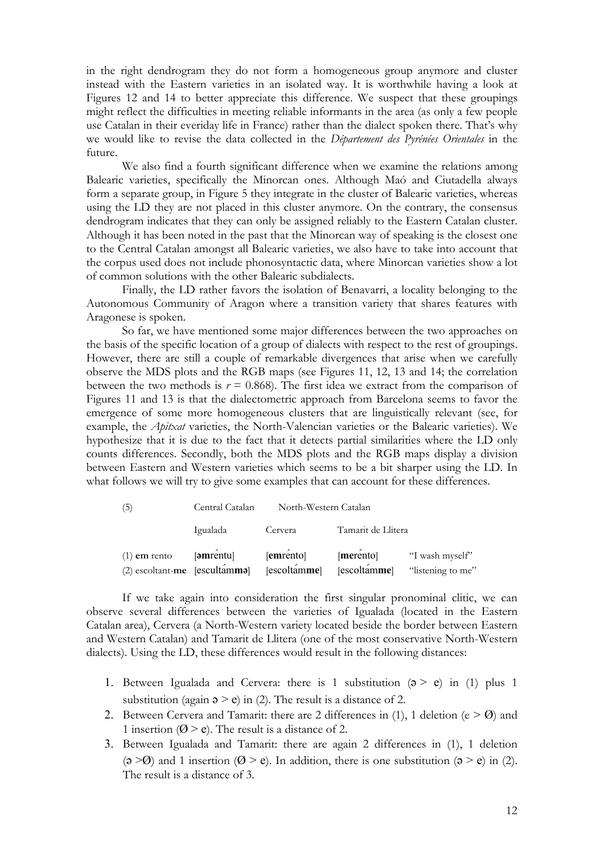in the right dendrogram they do not form a homogeneous group anymore and cluster instead with the Eastern varieties in an isolated way. It is worthwhile having a look at Figures 12 and 14 to better appreciate this difference. We suspect that these groupings might reflect the difficulties in meeting reliable informants in the area (as only a few people use Catalan in their everiday life in France) rather than the dialect spoken there. That's why we would like to revise the data collected in the *Département des Pyrénées Orientales* in the future.

 We also find a fourth significant difference when we examine the relations among Balearic varieties, specifically the Minorcan ones. Although Maó and Ciutadella always form a separate group, in Figure 5 they integrate in the cluster of Balearic varieties, whereas using the LD they are not placed in this cluster anymore. On the contrary, the consensus dendrogram indicates that they can only be assigned reliably to the Eastern Catalan cluster. Although it has been noted in the past that the Minorcan way of speaking is the closest one to the Central Catalan amongst all Balearic varieties, we also have to take into account that the corpus used does not include phonosyntactic data, where Minorcan varieties show a lot of common solutions with the other Balearic subdialects.

 Finally, the LD rather favors the isolation of Benavarri, a locality belonging to the Autonomous Community of Aragon where a transition variety that shares features with Aragonese is spoken.

So far, we have mentioned some major differences between the two approaches on the basis of the specific location of a group of dialects with respect to the rest of groupings. However, there are still a couple of remarkable divergences that arise when we carefully observe the MDS plots and the RGB maps (see Figures 11, 12, 13 and 14; the correlation between the two methods is  $r = 0.868$ ). The first idea we extract from the comparison of Figures 11 and 13 is that the dialectometric approach from Barcelona seems to favor the emergence of some more homogeneous clusters that are linguistically relevant (see, for example, the *Apitxat* varieties, the North-Valencian varieties or the Balearic varieties). We hypothesize that it is due to the fact that it detects partial similarities where the LD only counts differences. Secondly, both the MDS plots and the RGB maps display a division between Eastern and Western varieties which seems to be a bit sharper using the LD. In what follows we will try to give some examples that can account for these differences.

| (5)                             | Central Catalan | North-Western Catalan |                    |                   |
|---------------------------------|-----------------|-----------------------|--------------------|-------------------|
|                                 | Igualada        | Cervera               | Tamarit de Llitera |                   |
| $(1)$ em rento                  | [əmrentu]       | [emrento]             | [merento]          | "I wash myself"   |
| $(2)$ escoltant-me [escultamma] |                 | [escoltamme]          | [escoltamme]       | "listening to me" |

If we take again into consideration the first singular pronominal clitic, we can observe several differences between the varieties of Igualada (located in the Eastern Catalan area), Cervera (a North-Western variety located beside the border between Eastern and Western Catalan) and Tamarit de Llitera (one of the most conservative North-Western dialects). Using the LD, these differences would result in the following distances:

- 1. Between Igualada and Cervera: there is 1 substitution  $(3 > e)$  in (1) plus 1 substitution (again  $\varphi > e$ ) in (2). The result is a distance of 2.
- 2. Between Cervera and Tamarit: there are 2 differences in (1), 1 deletion ( $e > 0$ ) and 1 insertion ( $\emptyset$  > e). The result is a distance of 2.
- 3. Between Igualada and Tamarit: there are again 2 differences in (1), 1 deletion  $(3 \ge 0)$  and 1 insertion  $(0 \ge e)$ . In addition, there is one substitution  $(3 \ge e)$  in (2). The result is a distance of 3.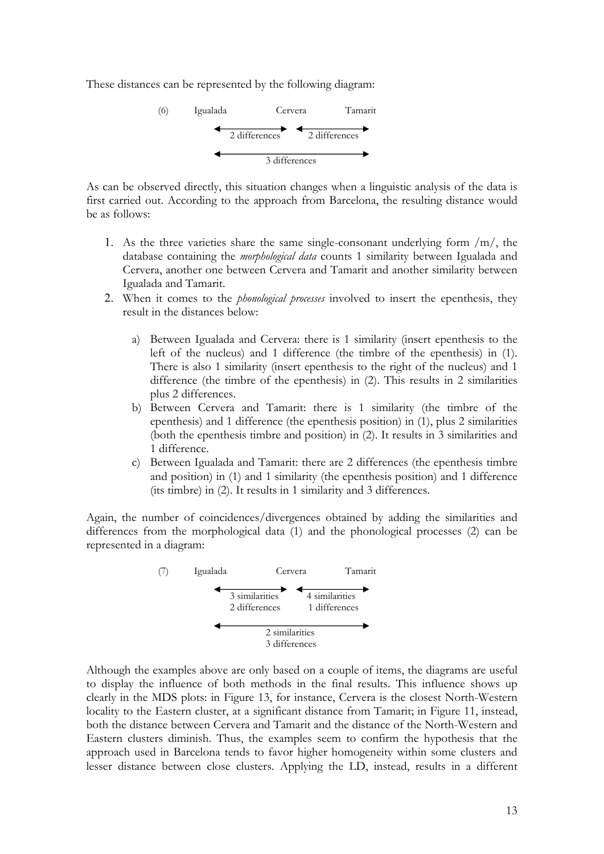These distances can be represented by the following diagram:



As can be observed directly, this situation changes when a linguistic analysis of the data is first carried out. According to the approach from Barcelona, the resulting distance would be as follows:

- 1. As the three varieties share the same single-consonant underlying form  $/m/$ , the database containing the *morphological data* counts 1 similarity between Igualada and Cervera, another one between Cervera and Tamarit and another similarity between Igualada and Tamarit.
- 2. When it comes to the *phonological processes* involved to insert the epenthesis, they result in the distances below:
	- a) Between Igualada and Cervera: there is 1 similarity (insert epenthesis to the left of the nucleus) and 1 difference (the timbre of the epenthesis) in (1). There is also 1 similarity (insert epenthesis to the right of the nucleus) and 1 difference (the timbre of the epenthesis) in (2). This results in 2 similarities plus 2 differences.
	- b) Between Cervera and Tamarit: there is 1 similarity (the timbre of the epenthesis) and 1 difference (the epenthesis position) in (1), plus 2 similarities (both the epenthesis timbre and position) in (2). It results in 3 similarities and 1 difference.
	- c) Between Igualada and Tamarit: there are 2 differences (the epenthesis timbre and position) in (1) and 1 similarity (the epenthesis position) and 1 difference (its timbre) in (2). It results in 1 similarity and 3 differences.

Again, the number of coincidences/divergences obtained by adding the similarities and differences from the morphological data (1) and the phonological processes (2) can be represented in a diagram:



Although the examples above are only based on a couple of items, the diagrams are useful to display the influence of both methods in the final results. This influence shows up clearly in the MDS plots: in Figure 13, for instance, Cervera is the closest North-Western locality to the Eastern cluster, at a significant distance from Tamarit; in Figure 11, instead, both the distance between Cervera and Tamarit and the distance of the North-Western and Eastern clusters diminish. Thus, the examples seem to confirm the hypothesis that the approach used in Barcelona tends to favor higher homogeneity within some clusters and lesser distance between close clusters. Applying the LD, instead, results in a different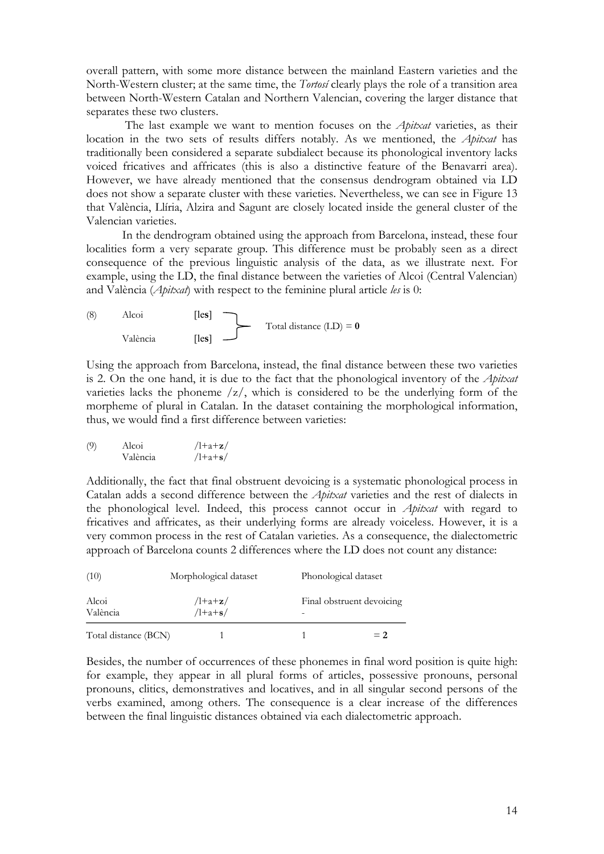overall pattern, with some more distance between the mainland Eastern varieties and the North-Western cluster; at the same time, the *Tortosí* clearly plays the role of a transition area between North-Western Catalan and Northern Valencian, covering the larger distance that separates these two clusters.

 The last example we want to mention focuses on the *Apitxat* varieties, as their location in the two sets of results differs notably. As we mentioned, the *Apitxat* has traditionally been considered a separate subdialect because its phonological inventory lacks voiced fricatives and affricates (this is also a distinctive feature of the Benavarri area). However, we have already mentioned that the consensus dendrogram obtained via LD does not show a separate cluster with these varieties. Nevertheless, we can see in Figure 13 that València, Llíria, Alzira and Sagunt are closely located inside the general cluster of the Valencian varieties.

 In the dendrogram obtained using the approach from Barcelona, instead, these four localities form a very separate group. This difference must be probably seen as a direct consequence of the previous linguistic analysis of the data, as we illustrate next. For example, using the LD, the final distance between the varieties of Alcoi (Central Valencian) and València (*Apitxat*) with respect to the feminine plural article *les* is 0:

(8) Alcoi [les] Total distance (LD) = 
$$
0
$$
 València [les]

Using the approach from Barcelona, instead, the final distance between these two varieties is 2. On the one hand, it is due to the fact that the phonological inventory of the *Apitxat* varieties lacks the phoneme /z/, which is considered to be the underlying form of the morpheme of plural in Catalan. In the dataset containing the morphological information, thus, we would find a first difference between varieties:

(9) Alcoi 
$$
/l+a+z/
$$
  
València  $/l+a+s/$ 

Additionally, the fact that final obstruent devoicing is a systematic phonological process in Catalan adds a second difference between the *Apitxat* varieties and the rest of dialects in the phonological level. Indeed, this process cannot occur in *Apitxat* with regard to fricatives and affricates, as their underlying forms are already voiceless. However, it is a very common process in the rest of Catalan varieties. As a consequence, the dialectometric approach of Barcelona counts 2 differences where the LD does not count any distance:

| (10)                 | Morphological dataset | Phonological dataset      |  |  |
|----------------------|-----------------------|---------------------------|--|--|
| Alcoi<br>València    | $1+a+z/$<br>$1+a+s/$  | Final obstruent devoicing |  |  |
| Total distance (BCN) |                       | $= 2$                     |  |  |

Besides, the number of occurrences of these phonemes in final word position is quite high: for example, they appear in all plural forms of articles, possessive pronouns, personal pronouns, clitics, demonstratives and locatives, and in all singular second persons of the verbs examined, among others. The consequence is a clear increase of the differences between the final linguistic distances obtained via each dialectometric approach.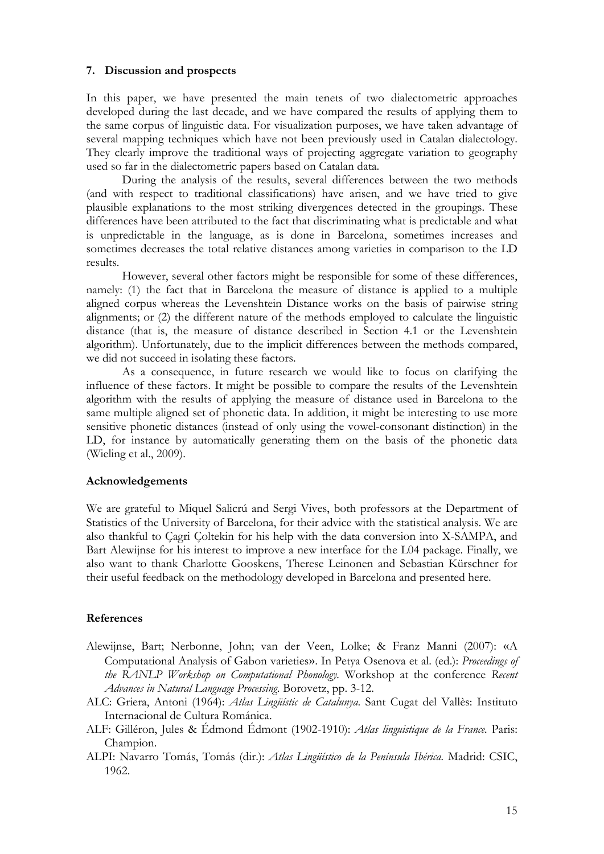### **7. Discussion and prospects**

In this paper, we have presented the main tenets of two dialectometric approaches developed during the last decade, and we have compared the results of applying them to the same corpus of linguistic data. For visualization purposes, we have taken advantage of several mapping techniques which have not been previously used in Catalan dialectology. They clearly improve the traditional ways of projecting aggregate variation to geography used so far in the dialectometric papers based on Catalan data.

 During the analysis of the results, several differences between the two methods (and with respect to traditional classifications) have arisen, and we have tried to give plausible explanations to the most striking divergences detected in the groupings. These differences have been attributed to the fact that discriminating what is predictable and what is unpredictable in the language, as is done in Barcelona, sometimes increases and sometimes decreases the total relative distances among varieties in comparison to the LD results.

 However, several other factors might be responsible for some of these differences, namely: (1) the fact that in Barcelona the measure of distance is applied to a multiple aligned corpus whereas the Levenshtein Distance works on the basis of pairwise string alignments; or (2) the different nature of the methods employed to calculate the linguistic distance (that is, the measure of distance described in Section 4.1 or the Levenshtein algorithm). Unfortunately, due to the implicit differences between the methods compared, we did not succeed in isolating these factors.

 As a consequence, in future research we would like to focus on clarifying the influence of these factors. It might be possible to compare the results of the Levenshtein algorithm with the results of applying the measure of distance used in Barcelona to the same multiple aligned set of phonetic data. In addition, it might be interesting to use more sensitive phonetic distances (instead of only using the vowel-consonant distinction) in the LD, for instance by automatically generating them on the basis of the phonetic data (Wieling et al., 2009).

#### **Acknowledgements**

We are grateful to Miquel Salicrú and Sergi Vives, both professors at the Department of Statistics of the University of Barcelona, for their advice with the statistical analysis. We are also thankful to Çagri Çoltekin for his help with the data conversion into X-SAMPA, and Bart Alewijnse for his interest to improve a new interface for the L04 package. Finally, we also want to thank Charlotte Gooskens, Therese Leinonen and Sebastian Kürschner for their useful feedback on the methodology developed in Barcelona and presented here.

#### **References**

- Alewijnse, Bart; Nerbonne, John; van der Veen, Lolke; & Franz Manni (2007): «A Computational Analysis of Gabon varieties». In Petya Osenova et al. (ed.): *Proceedings of the RANLP Workshop on Computational Phonology.* Workshop at the conference *Recent Advances in Natural Language Processing.* Borovetz, pp. 3-12.
- ALC: Griera, Antoni (1964): *Atlas Lingüístic de Catalunya*. Sant Cugat del Vallès: Instituto Internacional de Cultura Románica.
- ALF: Gilléron, Jules & Édmond Édmont (1902-1910): *Atlas linguistique de la France.* Paris: Champion.
- ALPI: Navarro Tomás, Tomás (dir.): *Atlas Lingüístico de la Península Ibérica.* Madrid: CSIC, 1962.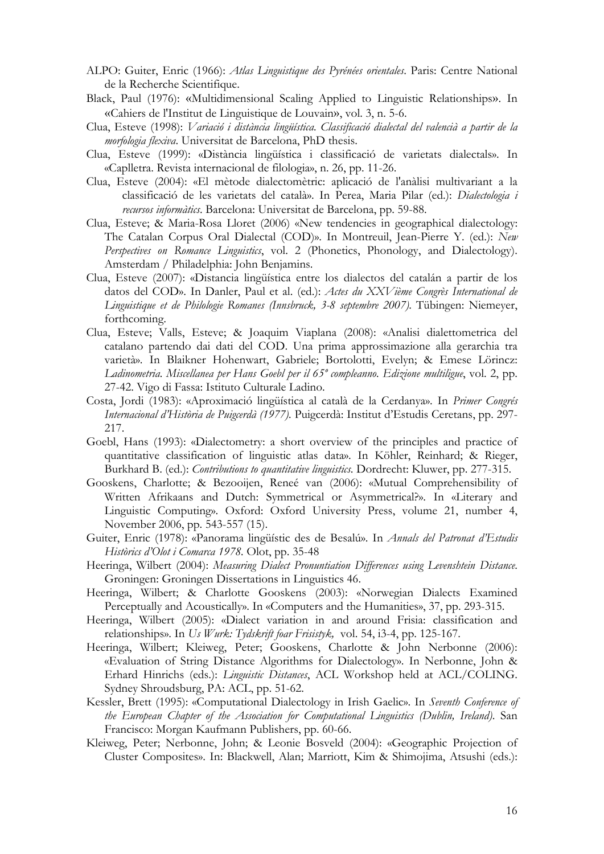- ALPO: Guiter, Enric (1966): *Atlas Linguistique des Pyrénées orientales*. Paris: Centre National de la Recherche Scientifique.
- Black, Paul (1976): «Multidimensional Scaling Applied to Linguistic Relationships». In «Cahiers de l'Institut de Linguistique de Louvain», vol. 3, n. 5-6.
- Clua, Esteve (1998): *Variació i distància lingüística. Classificació dialectal del valencià a partir de la morfologia flexiva*. Universitat de Barcelona, PhD thesis.
- Clua, Esteve (1999): «Distància lingüística i classificació de varietats dialectals». In «Caplletra. Revista internacional de filologia», n. 26, pp. 11-26.
- Clua, Esteve (2004): «El mètode dialectomètric: aplicació de l'anàlisi multivariant a la classificació de les varietats del català». In Perea, Maria Pilar (ed.): *Dialectologia i recursos informàtics*. Barcelona: Universitat de Barcelona, pp. 59-88.
- Clua, Esteve; & Maria-Rosa Lloret (2006) «New tendencies in geographical dialectology: The Catalan Corpus Oral Dialectal (COD)». In Montreuil, Jean-Pierre Y. (ed.): *New Perspectives on Romance Linguistics*, vol. 2 (Phonetics, Phonology, and Dialectology). Amsterdam / Philadelphia: John Benjamins.
- Clua, Esteve (2007): «Distancia lingüística entre los dialectos del catalán a partir de los datos del COD». In Danler, Paul et al. (ed.): *Actes du XXVième Congrès International de Linguistique et de Philologie Romanes (Innsbruck, 3-8 septembre 2007)*. Tübingen: Niemeyer, forthcoming.
- Clua, Esteve; Valls, Esteve; & Joaquim Viaplana (2008): «Analisi dialettometrica del catalano partendo dai dati del COD. Una prima approssimazione alla gerarchia tra varietà». In Blaikner Hohenwart, Gabriele; Bortolotti, Evelyn; & Emese Lörincz: *Ladinometria. Miscellanea per Hans Goebl per il 65º compleanno. Edizione multiligue*, vol. 2, pp. 27-42. Vigo di Fassa: Istituto Culturale Ladino.
- Costa, Jordi (1983): «Aproximació lingüística al català de la Cerdanya». In *Primer Congrés Internacional d'Història de Puigcerdà (1977).* Puigcerdà: Institut d'Estudis Ceretans, pp. 297- 217.
- Goebl, Hans (1993): «Dialectometry: a short overview of the principles and practice of quantitative classification of linguistic atlas data». In Köhler, Reinhard; & Rieger, Burkhard B. (ed.): *Contributions to quantitative linguistics*. Dordrecht: Kluwer, pp. 277-315.
- Gooskens, Charlotte; & Bezooijen, Reneé van (2006): «Mutual Comprehensibility of Written Afrikaans and Dutch: Symmetrical or Asymmetrical?». In «Literary and Linguistic Computing». Oxford: Oxford University Press, volume 21, number 4, November 2006, pp. 543-557 (15).
- Guiter, Enric (1978): «Panorama lingüístic des de Besalú». In *Annals del Patronat d'Estudis Històrics d'Olot i Comarca 1978.* Olot, pp. 35-48
- Heeringa, Wilbert (2004): *Measuring Dialect Pronuntiation Differences using Levenshtein Distance*. Groningen: Groningen Dissertations in Linguistics 46.
- Heeringa, Wilbert; & Charlotte Gooskens (2003): «Norwegian Dialects Examined Perceptually and Acoustically». In «Computers and the Humanities», 37, pp. 293-315.
- Heeringa, Wilbert (2005): «Dialect variation in and around Frisia: classification and relationships». In *Us Wurk: Tydskrift foar Frisistyk,* vol. 54, i3-4, pp. 125-167.
- Heeringa, Wilbert; Kleiweg, Peter; Gooskens, Charlotte & John Nerbonne (2006): «Evaluation of String Distance Algorithms for Dialectology». In Nerbonne, John & Erhard Hinrichs (eds.): *Linguistic Distances*, ACL Workshop held at ACL/COLING. Sydney Shroudsburg, PA: ACL, pp. 51-62.
- Kessler, Brett (1995): «Computational Dialectology in Irish Gaelic». In *Seventh Conference of the European Chapter of the Association for Computational Linguistics (Dublin, Ireland)*. San Francisco: Morgan Kaufmann Publishers, pp. 60-66.
- Kleiweg, Peter; Nerbonne, John; & Leonie Bosveld (2004): [«Geographic Projection of](http://urd.let.rug.nl/nerbonne/papers/kleiweg04-diagrams.pdf)  [Cluster Composites».](http://urd.let.rug.nl/nerbonne/papers/kleiweg04-diagrams.pdf) In: Blackwell, Alan; Marriott, Kim & Shimojima, Atsushi (eds.):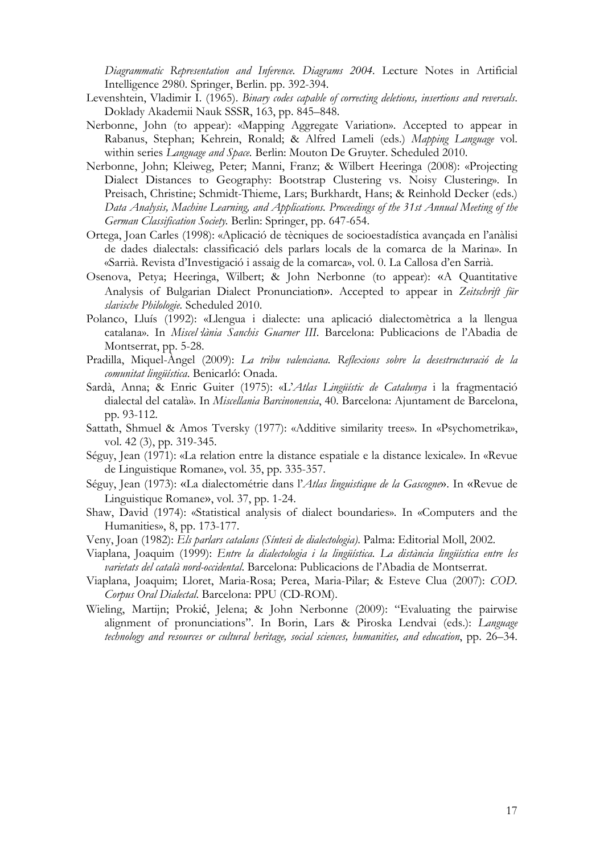*Diagrammatic Representation and Inference. Diagrams 2004.* Lecture Notes in Artificial Intelligence 2980. Springer, Berlin. pp. 392-394.

- Levenshtein, Vladimir I. (1965). *Binary codes capable of correcting deletions, insertions and reversals*. Doklady Akademii Nauk SSSR, 163, pp. 845–848.
- Nerbonne, John (to appear): «Mapping Aggregate Variation». Accepted to appear in Rabanus, Stephan; Kehrein, Ronald; & Alfred Lameli (eds.) *Mapping Language* vol. within series *Language and Space.* Berlin: Mouton De Gruyter. Scheduled 2010.
- Nerbonne, John; Kleiweg, Peter; Manni, Franz; & Wilbert Heeringa (2008): «Projecting Dialect Distances to Geography: Bootstrap Clustering vs. Noisy Clustering». In Preisach, Christine; Schmidt-Thieme, Lars; Burkhardt, Hans; & Reinhold Decker (eds.) *Data Analysis, Machine Learning, and Applications. Proceedings of the 31st Annual Meeting of the German Classification Society.* Berlin: Springer, pp. 647-654.
- Ortega, Joan Carles (1998): «Aplicació de tècniques de socioestadística avançada en l'anàlisi de dades dialectals: classificació dels parlars locals de la comarca de la Marina». In «Sarrià. Revista d'Investigació i assaig de la comarca», vol. 0. La Callosa d'en Sarrià.
- Osenova, Petya; Heeringa, Wilbert; & John Nerbonne (to appear): «A Quantitative Analysis of Bulgarian Dialect Pronunciation». Accepted to appear in *Zeitschrift für slavische Philologie.* Scheduled 2010.
- Polanco, Lluís (1992): «Llengua i dialecte: una aplicació dialectomètrica a la llengua catalana». In *Miscel·lània Sanchis Guarner III*. Barcelona: Publicacions de l'Abadia de Montserrat, pp. 5-28.
- Pradilla, Miquel-Àngel (2009): *La tribu valenciana. Reflexions sobre la desestructuració de la comunitat lingüística*. Benicarló: Onada.
- Sardà, Anna; & Enric Guiter (1975): «L'*Atlas Lingüístic de Catalunya* i la fragmentació dialectal del català». In *Miscellania Barcinonensia*, 40. Barcelona: Ajuntament de Barcelona, pp. 93-112.
- Sattath, Shmuel & Amos Tversky (1977): «Additive similarity trees». In «Psychometrika», vol. 42 (3), pp. 319-345.
- Séguy, Jean (1971): «La relation entre la distance espatiale e la distance lexicale». In «Revue de Linguistique Romane», vol. 35, pp. 335-357.
- Séguy, Jean (1973): «La dialectométrie dans l'*Atlas linguistique de la Gascogne*». In «Revue de Linguistique Romane», vol. 37, pp. 1-24.
- Shaw, David (1974): «Statistical analysis of dialect boundaries». In «Computers and the Humanities», 8, pp. 173-177.
- Veny, Joan (1982): *Els parlars catalans (Síntesi de dialectologia)*. Palma: Editorial Moll, 2002.
- Viaplana, Joaquim (1999): *Entre la dialectologia i la lingüística. La distància lingüística entre les varietats del català nord-occidental*. Barcelona: Publicacions de l'Abadia de Montserrat.
- Viaplana, Joaquim; Lloret, Maria-Rosa; Perea, Maria-Pilar; & Esteve Clua (2007): *COD. Corpus Oral Dialectal*. Barcelona: PPU (CD-ROM).
- Wieling, Martijn; Prokić, Jelena; & John Nerbonne (2009): "Evaluating the pairwise alignment of pronunciations". In Borin, Lars & Piroska Lendvai (eds.): *Language technology and resources or cultural heritage, social sciences, humanities, and education*, pp. 26–34.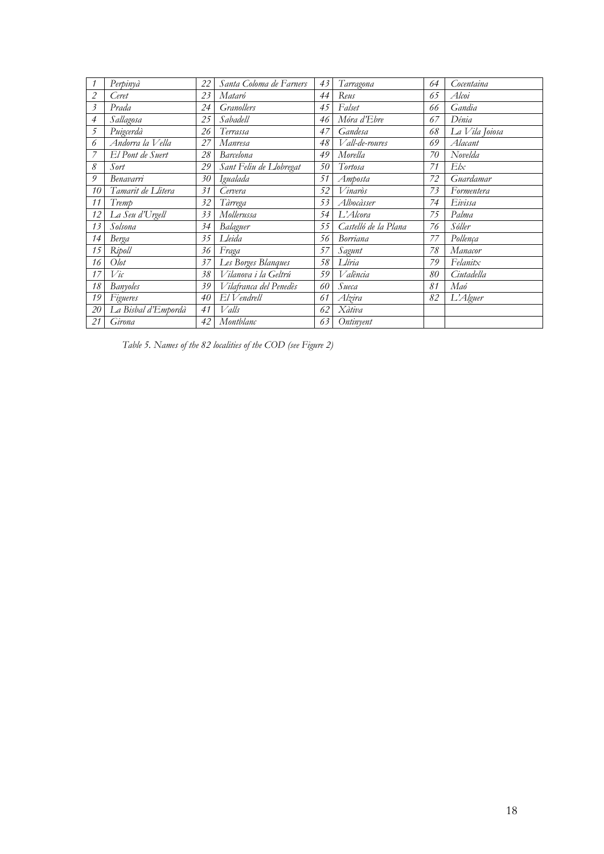| $\mathcal I$   | Perpinyà            | 22 | Santa Coloma de Farners | 43 | Tarragona            | 64 | Cocentaina     |
|----------------|---------------------|----|-------------------------|----|----------------------|----|----------------|
| 2              | Ceret               | 23 | Mataró                  | 44 | Reus                 | 65 | Alcoi          |
| $\mathfrak{Z}$ | Prada               | 24 | <b>Granollers</b>       | 45 | Falset               | 66 | Gandia         |
| 4              | Sallagosa           | 25 | Sabadell                | 46 | Móra d'Ebre          | 67 | Dénia          |
| 5              | Puigcerdà           | 26 | Terrassa                | 47 | Gandesa              | 68 | La Vila Joiosa |
| 6              | Andorra la Vella    | 27 | Manresa                 | 48 | Vall-de-roures       | 69 | Alacant        |
|                | El Pont de Suert    | 28 | <b>Barcelona</b>        | 49 | Morella              | 70 | Novelda        |
| 8              | Sort                | 29 | Sant Feliu de Llobregat | 50 | Tortosa              | 71 | E/x            |
| 9              | Benavarri           | 30 | Igualada                | 51 | Amposta              | 72 | Guardamar      |
| 10             | Tamarit de Llitera  | 31 | Cervera                 | 52 | Vinaròs              | 73 | Formentera     |
| 11             | Tremp               | 32 | Tàrrega                 | 53 | Albocàsser           | 74 | Eivissa        |
| 12             | La Seu d'Urgell     | 33 | Mollerussa              | 54 | L'Alcora             | 75 | Palma          |
| 13             | Solsona             | 34 | Balaguer                | 55 | Castelló de la Plana | 76 | Sóller         |
| 14             | Berga               | 35 | Lleida                  | 56 | Borriana             | 77 | Pollença       |
| 15             | Ripoll              | 36 | Fraga                   | 57 | Sagunt               | 78 | Manacor        |
| 16             | $O$ <i>lot</i>      | 37 | Les Borges Blanques     | 58 | Llíria               | 79 | Felanitx       |
| 17             | Vic                 | 38 | Vilanova i la Geltrú    | 59 | V alència            | 80 | Ciutadella     |
| 18             | Banyoles            | 39 | Vilafranca del Penedès  | 60 | Sueca                | 81 | Maó            |
| 19             | Figueres            | 40 | El Vendrell             | 61 | Alzira               | 82 | L'Alguer       |
| 20             | La Bisbal d'Empordà | 41 | Valls                   | 62 | Xàtiva               |    |                |
| 21             | Girona              | 42 | Montblanc               | 63 | Ontinyent            |    |                |

*Table 5. Names of the 82 localities of the COD (see Figure 2)*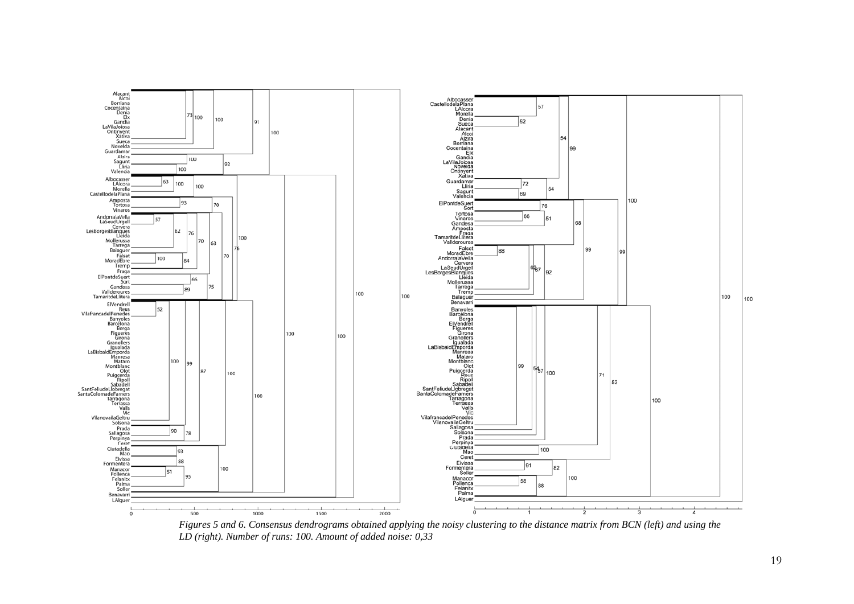

*Figures 5 and 6. Consensus dendrograms obtained applying the noisy clustering to the distance matrix from BCN (left) and using the LD (right). Number of runs: 100. Amount of added noise: 0,33*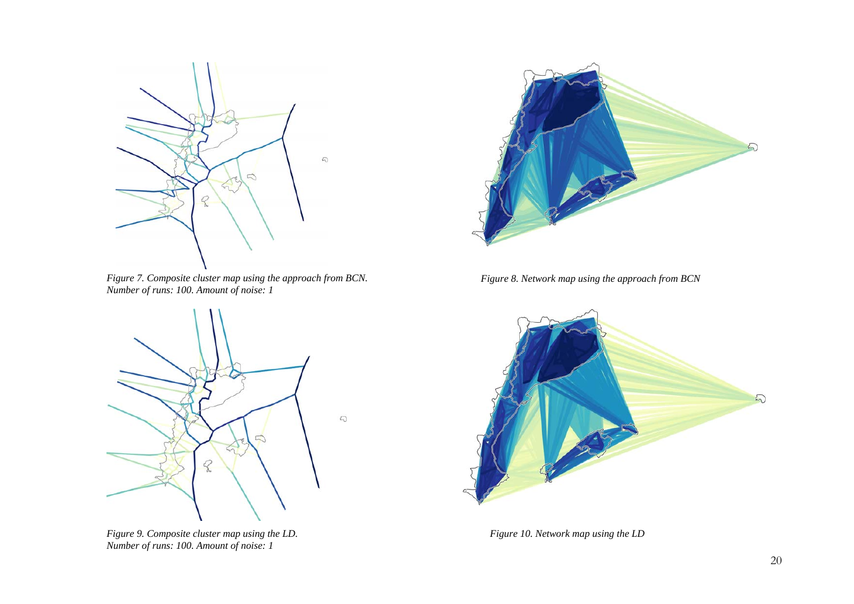

*Figure 7. Composite cluster map using the approach from BCN. Number of runs: 100. Amount of noise: 1* 



*Figure 9. Composite cluster map using the LD. Number of runs: 100. Amount of noise: 1* 



*Figure 8. Network map using the approach from BCN* 



*Figure 10. Network map using the LD*